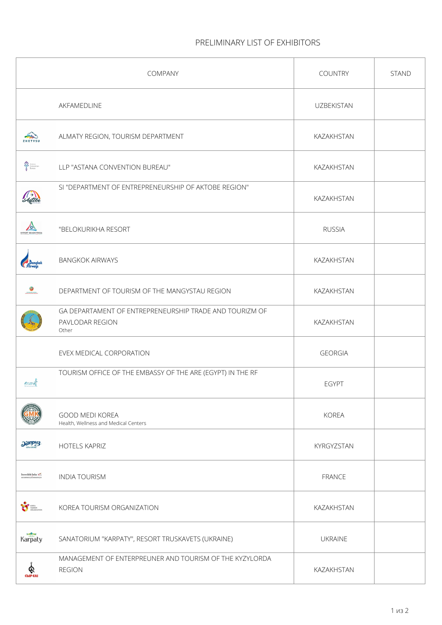## **PRELIMINARY LIST OF EXHIBITORS**

|                                                | COMPANY                                                                             | <b>COUNTRY</b>    | <b>STAND</b> |
|------------------------------------------------|-------------------------------------------------------------------------------------|-------------------|--------------|
|                                                | AKFAMEDLINE                                                                         | <b>UZBEKISTAN</b> |              |
| ZHETYSU                                        | ALMATY REGION, TOURISM DEPARTMENT                                                   | KAZAKHSTAN        |              |
| <b>Special Astama</b><br><b>Special Surrou</b> | LLP "ASTANA CONVENTION BUREAU"                                                      | KAZAKHSTAN        |              |
|                                                | SI "DEPARTMENT OF ENTREPRENEURSHIP OF AKTOBE REGION"                                | KAZAKHSTAN        |              |
| <b>YPOPT BEAOKYI</b>                           | "BELOKURIKHA RESORT                                                                 | <b>RUSSIA</b>     |              |
|                                                | <b>BANGKOK AIRWAYS</b>                                                              | KAZAKHSTAN        |              |
| $\circ$                                        | DEPARTMENT OF TOURISM OF THE MANGYSTAU REGION                                       | KAZAKHSTAN        |              |
|                                                | GA DEPARTAMENT OF ENTREPRENEURSHIP TRADE AND TOURIZM OF<br>PAVLODAR REGION<br>Other | KAZAKHSTAN        |              |
|                                                | EVEX MEDICAL CORPORATION                                                            | <b>GEORGIA</b>    |              |
| erunet                                         | TOURISM OFFICE OF THE EMBASSY OF THE ARE (EGYPT) IN THE RF                          | <b>EGYPT</b>      |              |
|                                                | <b>GOOD MEDI KOREA</b><br>Health, Wellness and Medical Centers                      | <b>KOREA</b>      |              |
| <b>Janpus</b>                                  | <b>HOTELS KAPRIZ</b>                                                                | KYRGYZSTAN        |              |
| Incredible India $\epsilon$                    | <b>INDIA TOURISM</b>                                                                | <b>FRANCE</b>     |              |
|                                                | KOREA TOURISM ORGANIZATION                                                          | KAZAKHSTAN        |              |
| Karpaty                                        | SANATORIUM "KARPATY", RESORT TRUSKAVETS (UKRAINE)                                   | <b>UKRAINE</b>    |              |
| ଢ଼<br>CbIP EAI                                 | MANAGEMENT OF ENTERPREUNER AND TOURISM OF THE KYZYLORDA<br><b>REGION</b>            | KAZAKHSTAN        |              |